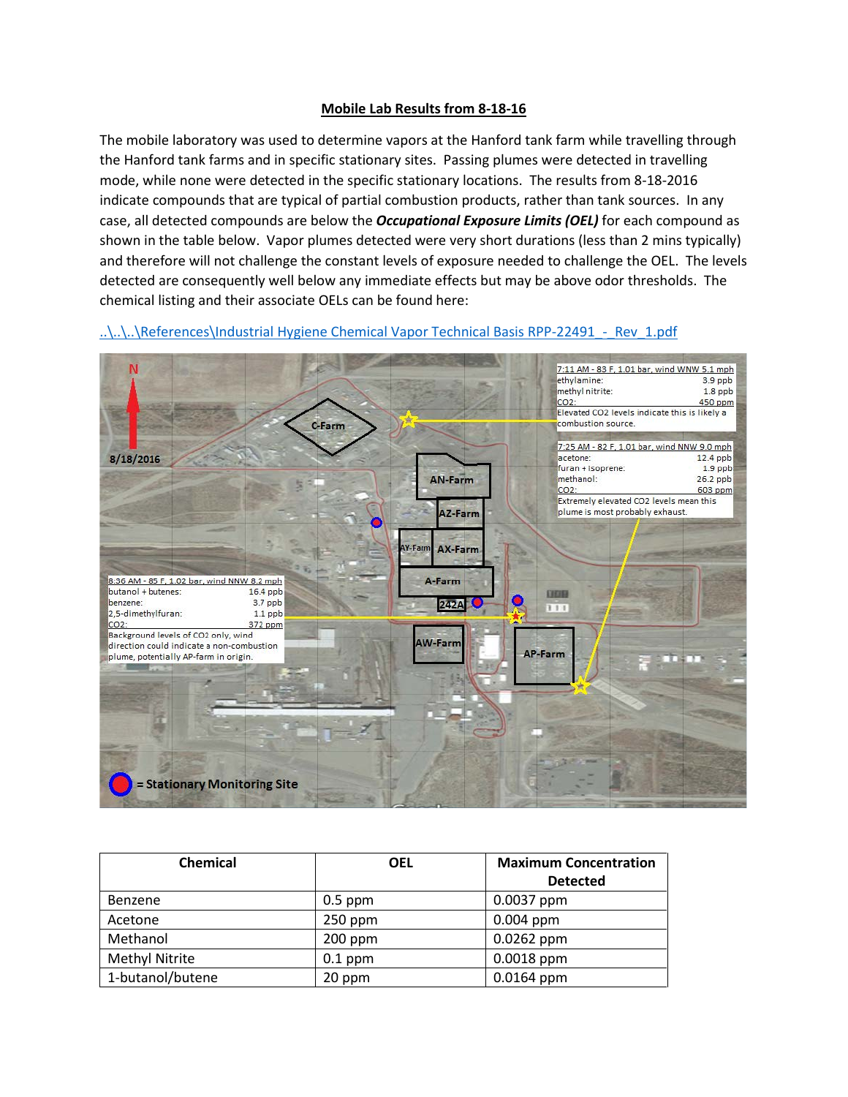## **Mobile Lab Results from 8-18-16**

The mobile laboratory was used to determine vapors at the Hanford tank farm while travelling through the Hanford tank farms and in specific stationary sites. Passing plumes were detected in travelling mode, while none were detected in the specific stationary locations. The results from 8-18-2016 indicate compounds that are typical of partial combustion products, rather than tank sources. In any case, all detected compounds are below the *Occupational Exposure Limits (OEL)* for each compound as shown in the table below. Vapor plumes detected were very short durations (less than 2 mins typically) and therefore will not challenge the constant levels of exposure needed to challenge the OEL. The levels detected are consequently well below any immediate effects but may be above odor thresholds. The chemical listing and their associate OELs can be found here:



..\..\..\References\Industrial Hygiene Chemical Vapor Technical Basis RPP-22491 - Rev\_1.pdf

| <b>Chemical</b>       | <b>OEL</b> | <b>Maximum Concentration</b> |
|-----------------------|------------|------------------------------|
|                       |            | <b>Detected</b>              |
| Benzene               | $0.5$ ppm  | $0.0037$ ppm                 |
| Acetone               | $250$ ppm  | $0.004$ ppm                  |
| Methanol              | $200$ ppm  | $0.0262$ ppm                 |
| <b>Methyl Nitrite</b> | $0.1$ ppm  | $0.0018$ ppm                 |
| 1-butanol/butene      | 20 ppm     | $0.0164$ ppm                 |